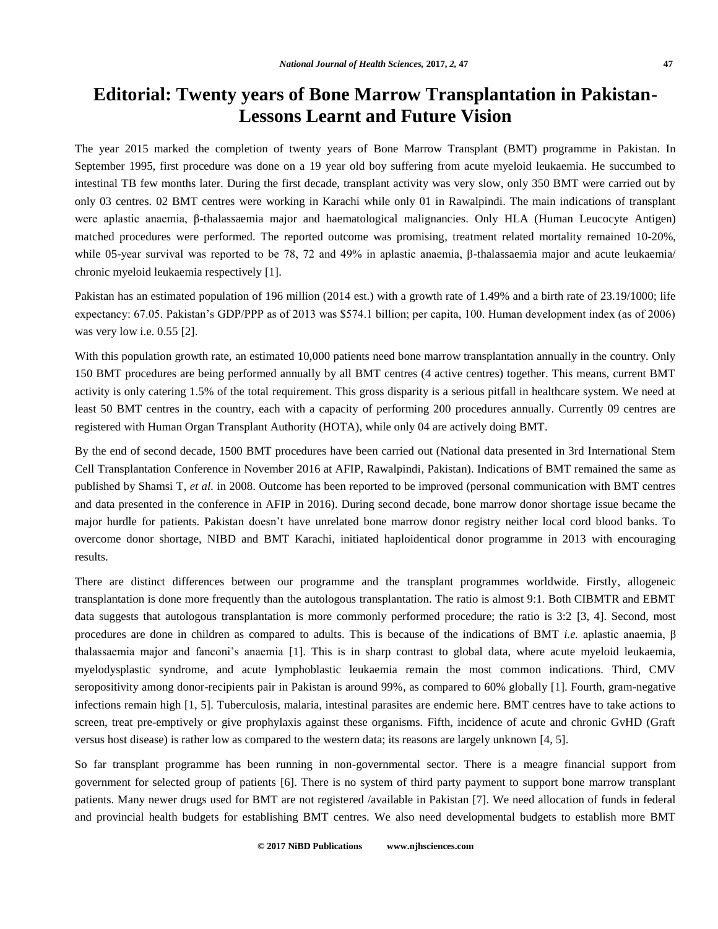## **Editorial: Twenty years of Bone Marrow Transplantation in Pakistan-Lessons Learnt and Future Vision**

The year 2015 marked the completion of twenty years of Bone Marrow Transplant (BMT) programme in Pakistan. In September 1995, first procedure was done on a 19 year old boy suffering from acute myeloid leukaemia. He succumbed to intestinal TB few months later. During the first decade, transplant activity was very slow, only 350 BMT were carried out by only 03 centres. 02 BMT centres were working in Karachi while only 01 in Rawalpindi. The main indications of transplant were aplastic anaemia, β-thalassaemia major and haematological malignancies. Only HLA (Human Leucocyte Antigen) matched procedures were performed. The reported outcome was promising, treatment related mortality remained 10-20%, while 05-year survival was reported to be 78, 72 and 49% in aplastic anaemia, β-thalassaemia major and acute leukaemia/ chronic myeloid leukaemia respectively [1].

Pakistan has an estimated population of 196 million (2014 est.) with a growth rate of 1.49% and a birth rate of 23.19/1000; life expectancy: 67.05. Pakistan's GDP/PPP as of 2013 was \$574.1 billion; per capita, 100. Human development index (as of 2006) was very low i.e. 0.55 [2].

With this population growth rate, an estimated 10,000 patients need bone marrow transplantation annually in the country. Only 150 BMT procedures are being performed annually by all BMT centres (4 active centres) together. This means, current BMT activity is only catering 1.5% of the total requirement. This gross disparity is a serious pitfall in healthcare system. We need at least 50 BMT centres in the country, each with a capacity of performing 200 procedures annually. Currently 09 centres are registered with Human Organ Transplant Authority (HOTA), while only 04 are actively doing BMT.

By the end of second decade, 1500 BMT procedures have been carried out (National data presented in 3rd International Stem Cell Transplantation Conference in November 2016 at AFIP, Rawalpindi, Pakistan). Indications of BMT remained the same as published by Shamsi T, *et al.* in 2008. Outcome has been reported to be improved (personal communication with BMT centres and data presented in the conference in AFIP in 2016). During second decade, bone marrow donor shortage issue became the major hurdle for patients. Pakistan doesn't have unrelated bone marrow donor registry neither local cord blood banks. To overcome donor shortage, NIBD and BMT Karachi, initiated haploidentical donor programme in 2013 with encouraging results.

There are distinct differences between our programme and the transplant programmes worldwide. Firstly, allogeneic transplantation is done more frequently than the autologous transplantation. The ratio is almost 9:1. Both CIBMTR and EBMT data suggests that autologous transplantation is more commonly performed procedure; the ratio is 3:2 [3, 4]. Second, most procedures are done in children as compared to adults. This is because of the indications of BMT *i.e.* aplastic anaemia, β thalassaemia major and fanconi's anaemia [1]. This is in sharp contrast to global data, where acute myeloid leukaemia, myelodysplastic syndrome, and acute lymphoblastic leukaemia remain the most common indications. Third, CMV seropositivity among donor-recipients pair in Pakistan is around 99%, as compared to 60% globally [1]. Fourth, gram-negative infections remain high [1, 5]. Tuberculosis, malaria, intestinal parasites are endemic here. BMT centres have to take actions to screen, treat pre-emptively or give prophylaxis against these organisms. Fifth, incidence of acute and chronic GvHD (Graft versus host disease) is rather low as compared to the western data; its reasons are largely unknown [4, 5].

So far transplant programme has been running in non-governmental sector. There is a meagre financial support from government for selected group of patients [6]. There is no system of third party payment to support bone marrow transplant patients. Many newer drugs used for BMT are not registered /available in Pakistan [7]. We need allocation of funds in federal and provincial health budgets for establishing BMT centres. We also need developmental budgets to establish more BMT